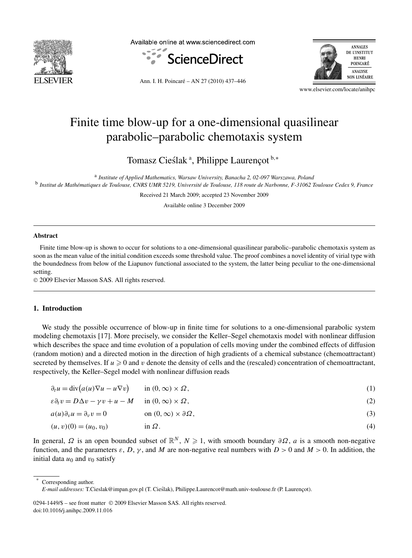

Available online at www.sciencedirect.com





Ann. I. H. Poincaré – AN 27 (2010) 437–446

www.elsevier.com/locate/anihpc

# Finite time blow-up for a one-dimensional quasilinear parabolic–parabolic chemotaxis system

Tomasz Cieślak<sup>a</sup>, Philippe Laurençot<sup>b,∗</sup>

<sup>a</sup> *Institute of Applied Mathematics, Warsaw University, Banacha 2, 02-097 Warszawa, Poland* <sup>b</sup> *Institut de Mathématiques de Toulouse, CNRS UMR 5219, Université de Toulouse, 118 route de Narbonne, F-31062 Toulouse Cedex 9, France*

Received 21 March 2009; accepted 23 November 2009

Available online 3 December 2009

#### **Abstract**

Finite time blow-up is shown to occur for solutions to a one-dimensional quasilinear parabolic–parabolic chemotaxis system as soon as the mean value of the initial condition exceeds some threshold value. The proof combines a novel identity of virial type with the boundedness from below of the Liapunov functional associated to the system, the latter being peculiar to the one-dimensional setting.

© 2009 Elsevier Masson SAS. All rights reserved.

## **1. Introduction**

We study the possible occurrence of blow-up in finite time for solutions to a one-dimensional parabolic system modeling chemotaxis [17]. More precisely, we consider the Keller–Segel chemotaxis model with nonlinear diffusion which describes the space and time evolution of a population of cells moving under the combined effects of diffusion (random motion) and a directed motion in the direction of high gradients of a chemical substance (chemoattractant) secreted by themselves. If  $u \ge 0$  and  $v$  denote the density of cells and the (rescaled) concentration of chemoattractant, respectively, the Keller–Segel model with nonlinear diffusion reads

| $\partial_t u = \text{div}(a(u)\nabla u - u\nabla v)$<br>in $(0, \infty) \times \Omega$ , |  |
|-------------------------------------------------------------------------------------------|--|
|-------------------------------------------------------------------------------------------|--|

$$
\varepsilon \partial_t v = D \Delta v - \gamma v + u - M \quad \text{in } (0, \infty) \times \Omega,
$$
\n<sup>(2)</sup>

 $a(u)\partial_v u = \partial_v v = 0$  on  $(0, \infty) \times \partial \Omega$ , (3)

$$
(u, v)(0) = (u_0, v_0) \qquad \text{in } \Omega. \tag{4}
$$

In general,  $\Omega$  is an open bounded subset of  $\mathbb{R}^N$ ,  $N \geq 1$ , with smooth boundary  $\partial \Omega$ , *a* is a smooth non-negative function, and the parameters  $\varepsilon$ , *D*,  $\gamma$ , and *M* are non-negative real numbers with  $D > 0$  and  $M > 0$ . In addition, the initial data  $u_0$  and  $v_0$  satisfy

Corresponding author.

0294-1449/\$ – see front matter © 2009 Elsevier Masson SAS. All rights reserved. doi:10.1016/j.anihpc.2009.11.016

*E-mail addresses:* T.Cieslak@impan.gov.pl (T. Cieslak), Philippe.Laurencot@math.univ-toulouse.fr (P. Laurençot). ´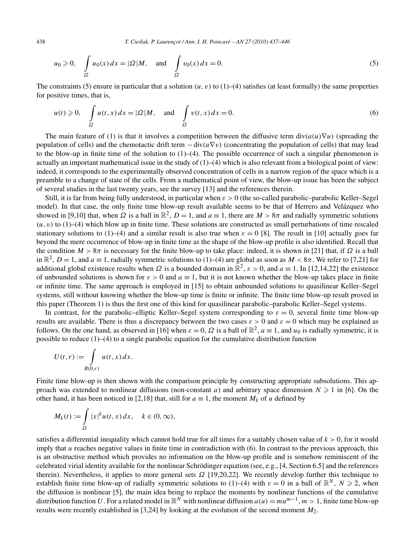438 *T. Cie´slak, P. Laurençot / Ann. I. H. Poincaré – AN 27 (2010) 437–446*

$$
u_0 \ge 0
$$
,  $\int_{\Omega} u_0(x) dx = |\Omega| M$ , and  $\int_{\Omega} v_0(x) dx = 0$ . (5)

The constraints (5) ensure in particular that a solution  $(u, v)$  to  $(1)$ –(4) satisfies (at least formally) the same properties for positive times, that is,

$$
u(t) \geqslant 0, \quad \int_{\Omega} u(t, x) dx = |\Omega| M, \quad \text{and} \quad \int_{\Omega} v(t, x) dx = 0.
$$
 (6)

The main feature of (1) is that it involves a competition between the diffusive term div $(a(u)\nabla u)$  (spreading the population of cells) and the chemotactic drift term  $-\text{div}(u\nabla v)$  (concentrating the population of cells) that may lead to the blow-up in finite time of the solution to  $(1)$ – $(4)$ . The possible occurrence of such a singular phenomenon is actually an important mathematical issue in the study of  $(1)$ – $(4)$  which is also relevant from a biological point of view: indeed, it corresponds to the experimentally observed concentration of cells in a narrow region of the space which is a preamble to a change of state of the cells. From a mathematical point of view, the blow-up issue has been the subject of several studies in the last twenty years, see the survey [13] and the references therein.

Still, it is far from being fully understood, in particular when *ε >* 0 (the so-called parabolic–parabolic Keller–Segel model). In that case, the only finite time blow-up result available seems to be that of Herrero and Velázquez who showed in [9,10] that, when  $\Omega$  is a ball in  $\mathbb{R}^2$ ,  $D = 1$ , and  $a \equiv 1$ , there are  $M > 8\pi$  and radially symmetric solutions  $(u, v)$  to  $(1)$ –(4) which blow up in finite time. These solutions are constructed as small perturbations of time rescaled stationary solutions to (1)–(4) and a similar result is also true when  $\varepsilon = 0$  [8]. The result in [10] actually goes far beyond the mere occurrence of blow-up in finite time as the shape of the blow-up profile is also identified. Recall that the condition  $M > 8\pi$  is necessary for the finite blow-up to take place: indeed, it is shown in [21] that, if  $\Omega$  is a ball in  $\mathbb{R}^2$ ,  $D = 1$ , and  $a \equiv 1$ , radially symmetric solutions to (1)–(4) are global as soon as  $M < 8\pi$ . We refer to [7,21] for additional global existence results when  $\Omega$  is a bounded domain in  $\mathbb{R}^2$ ,  $\varepsilon > 0$ , and  $a \equiv 1$ . In [12,14,22] the existence of unbounded solutions is shown for  $\varepsilon > 0$  and  $a \equiv 1$ , but it is not known whether the blow-up takes place in finite or infinite time. The same approach is employed in [15] to obtain unbounded solutions to quasilinear Keller–Segel systems, still without knowing whether the blow-up time is finite or infinite. The finite time blow-up result proved in this paper (Theorem 1) is thus the first one of this kind for quasilinear parabolic–parabolic Keller–Segel systems.

In contrast, for the parabolic–elliptic Keller–Segel system corresponding to  $\varepsilon = 0$ , several finite time blow-up results are available. There is thus a discrepancy between the two cases  $\varepsilon > 0$  and  $\varepsilon = 0$  which may be explained as follows. On the one hand, as observed in [16] when  $\varepsilon = 0$ ,  $\Omega$  is a ball of  $\mathbb{R}^2$ ,  $a \equiv 1$ , and  $u_0$  is radially symmetric, it is possible to reduce  $(1)$ – $(4)$  to a single parabolic equation for the cumulative distribution function

$$
U(t,r) := \int\limits_{B(0,r)} u(t,x) dx.
$$

Finite time blow-up is then shown with the comparison principle by constructing appropriate subsolutions. This approach was extended to nonlinear diffusions (non-constant *a*) and arbitrary space dimension  $N \geq 1$  in [6]. On the other hand, it has been noticed in [2,18] that, still for  $a \equiv 1$ , the moment  $M_k$  of *u* defined by

$$
M_k(t) := \int_{\Omega} |x|^k u(t, x) dx, \quad k \in (0, \infty),
$$

satisfies a differential inequality which cannot hold true for all times for a suitably chosen value of  $k > 0$ , for it would imply that *u* reaches negative values in finite time in contradiction with (6). In contrast to the previous approach, this is an obstructive method which provides no information on the blow-up profile and is somehow reminiscent of the celebrated virial identity available for the nonlinear Schrödinger equation (see, e.g., [4, Section 6.5] and the references therein). Nevertheless, it applies to more general sets *Ω* [19,20,22]. We recently develop further this technique to establish finite time blow-up of radially symmetric solutions to (1)–(4) with  $\varepsilon = 0$  in a ball of  $\mathbb{R}^N$ ,  $N \ge 2$ , when the diffusion is nonlinear [5], the main idea being to replace the moments by nonlinear functions of the cumulative distribution function *U*. For a related model in  $\mathbb{R}^N$  with nonlinear diffusion  $a(u) = mu^{m-1}$ ,  $m > 1$ , finite time blow-up results were recently established in [3,24] by looking at the evolution of the second moment *M*2.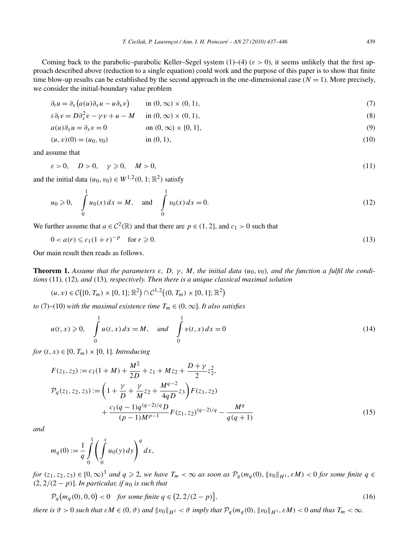Coming back to the parabolic–parabolic Keller–Segel system (1)–(4) (*ε >* 0), it seems unlikely that the first approach described above (reduction to a single equation) could work and the purpose of this paper is to show that finite time blow-up results can be established by the second approach in the one-dimensional case  $(N = 1)$ . More precisely, we consider the initial-boundary value problem

$$
\partial_t u = \partial_x (a(u)\partial_x u - u\partial_x v) \qquad \text{in } (0, \infty) \times (0, 1), \tag{7}
$$

$$
\varepsilon \partial_t v = D \partial_x^2 v - \gamma v + u - M \quad \text{in } (0, \infty) \times (0, 1), \tag{8}
$$

$$
a(u)\partial_x u = \partial_x v = 0 \qquad \text{on } (0, \infty) \times \{0, 1\},\tag{9}
$$

$$
(u, v)(0) = (u_0, v_0) \qquad \text{in } (0, 1), \tag{10}
$$

and assume that

$$
\varepsilon > 0, \quad D > 0, \quad \gamma \geqslant 0, \quad M > 0,\tag{11}
$$

and the initial data  $(u_0, v_0) \in W^{1,2}(0, 1; \mathbb{R}^2)$  satisfy

$$
u_0 \ge 0
$$
,  $\int_0^1 u_0(x) dx = M$ , and  $\int_0^1 v_0(x) dx = 0$ . (12)

We further assume that  $a \in C^2(\mathbb{R})$  and that there are  $p \in (1, 2]$ , and  $c_1 > 0$  such that

$$
0 < a(r) \leq c_1 (1+r)^{-p} \quad \text{for } r \geq 0. \tag{13}
$$

Our main result then reads as follows.

**Theorem 1.** Assume that the parameters  $\varepsilon$ , D,  $\gamma$ , M, the initial data (u<sub>0</sub>, v<sub>0</sub>), and the function a fulfil the condi*tions* (11)*,* (12)*, and* (13)*, respectively. Then there is a unique classical maximal solution*

$$
(u, v) \in C([0, T_m) \times [0, 1]; \mathbb{R}^2) \cap C^{1,2}((0, T_m) \times [0, 1]; \mathbb{R}^2)
$$

*to* (7)–(10) *with the maximal existence time*  $T_m \in (0, \infty]$ *. It also satisfies* 

$$
u(t, x) \ge 0
$$
,  $\int_{0}^{1} u(t, x) dx = M$ , and  $\int_{0}^{1} v(t, x) dx = 0$  (14)

*for*  $(t, x) \in [0, T_m) \times [0, 1]$ *. Introducing* 

$$
F(z_1, z_2) := c_1(1 + M) + \frac{M^2}{2D} + z_1 + Mz_2 + \frac{D + \gamma}{2} z_2^2,
$$
  
\n
$$
\mathcal{P}_q(z_1, z_2, z_3) := \left(1 + \frac{\gamma}{D} + \frac{\gamma}{M} z_2 + \frac{M^{q-2}}{4qD} z_3\right) F(z_1, z_2)
$$
  
\n
$$
+ \frac{c_1(q-1)q^{(q-2)/q}D}{(p-1)M^{p-1}} F(z_1, z_2)^{(q-2)/q} - \frac{M^q}{q(q+1)}
$$
\n(15)

*and*

$$
m_q(0) := \frac{1}{q} \int_0^1 \left( \int_0^x u_0(y) \, dy \right)^q dx,
$$

for  $(z_1, z_2, z_3) \in [0, \infty)^3$  and  $q \geq 2$ , we have  $T_m < \infty$  as soon as  $\mathcal{P}_q(m_q(0), \|v_0\|_{H^1}, \varepsilon M) < 0$  for some finite  $q \in$  $(2, 2/(2 - p))$ *. In particular, if*  $u_0$  *is such that* 

$$
\mathcal{P}_q(m_q(0), 0, 0) < 0 \quad \text{for some finite } q \in \left(2, 2/(2 - p)\right],\tag{16}
$$

there is  $\vartheta > 0$  such that  $\varepsilon M \in (0, \vartheta)$  and  $||v_0||_{H^1} < \vartheta$  imply that  $\mathcal{P}_q(m_q(0), ||v_0||_{H^1}, \varepsilon M) < 0$  and thus  $T_m < \infty$ .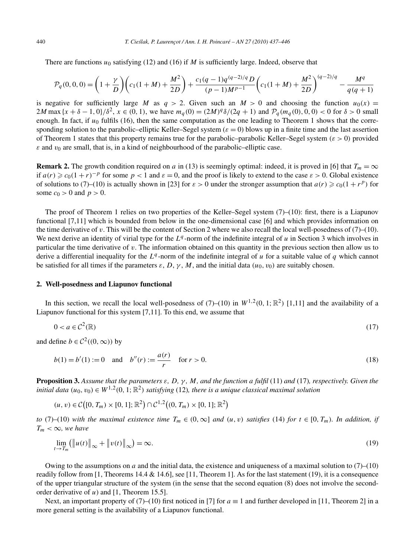There are functions *u*<sup>0</sup> satisfying (12) and (16) if *M* is sufficiently large. Indeed, observe that

$$
\mathcal{P}_q(0,0,0) = \left(1 + \frac{\gamma}{D}\right) \left(c_1(1+M) + \frac{M^2}{2D}\right) + \frac{c_1(q-1)q^{(q-2)/q}D}{(p-1)M^{p-1}} \left(c_1(1+M) + \frac{M^2}{2D}\right)^{(q-2)/q} - \frac{M^q}{q(q+1)}
$$

is negative for sufficiently large *M* as  $q > 2$ . Given such an  $M > 0$  and choosing the function  $u_0(x) =$  $2M$  max  $\{x + \delta - 1, 0\}$  / $\delta^2$ ,  $x \in (0, 1)$ , we have  $m_q(0) = (2M)^q \delta/(2q + 1)$  and  $P_q(m_q(0), 0, 0) < 0$  for  $\delta > 0$  small enough. In fact, if  $u_0$  fulfils (16), then the same computation as the one leading to Theorem 1 shows that the corresponding solution to the parabolic–elliptic Keller–Segel system  $(\varepsilon = 0)$  blows up in a finite time and the last assertion of Theorem 1 states that this property remains true for the parabolic–parabolic Keller–Segel system *(ε >* 0*)* provided  $\epsilon$  and  $v_0$  are small, that is, in a kind of neighbourhood of the parabolic–elliptic case.

**Remark 2.** The growth condition required on *a* in (13) is seemingly optimal: indeed, it is proved in [6] that  $T_m = \infty$ if  $a(r) \geq c_0(1+r)^{-p}$  for some  $p < 1$  and  $\varepsilon = 0$ , and the proof is likely to extend to the case  $\varepsilon > 0$ . Global existence of solutions to (7)–(10) is actually shown in [23] for  $\varepsilon > 0$  under the stronger assumption that  $a(r) \ge c_0(1 + r^p)$  for some  $c_0 > 0$  and  $p > 0$ .

The proof of Theorem 1 relies on two properties of the Keller–Segel system  $(7)$ – $(10)$ : first, there is a Liapunov functional [7,11] which is bounded from below in the one-dimensional case [6] and which provides information on the time derivative of  $v$ . This will be the content of Section 2 where we also recall the local well-posedness of  $(7)$ – $(10)$ . We next derive an identity of virial type for the *L<sup>q</sup>* -norm of the indefinite integral of *u* in Section 3 which involves in particular the time derivative of *v*. The information obtained on this quantity in the previous section then allow us to derive a differential inequality for the *L<sup>q</sup>* -norm of the indefinite integral of *u* for a suitable value of *q* which cannot be satisfied for all times if the parameters *ε*, *D*, *γ* , *M*, and the initial data *(u*0*, v*0*)* are suitably chosen.

### **2. Well-posedness and Liapunov functional**

In this section, we recall the local well-posedness of (7)–(10) in  $W^{1,2}(0,1;\mathbb{R}^2)$  [1,11] and the availability of a Liapunov functional for this system [7,11]. To this end, we assume that

$$
0 < a \in \mathcal{C}^2(\mathbb{R}) \tag{17}
$$

and define  $b \in C^2((0, \infty))$  by

$$
b(1) = b'(1) := 0 \quad \text{and} \quad b''(r) := \frac{a(r)}{r} \quad \text{for } r > 0.
$$
 (18)

**Proposition 3.** *Assume that the parameters ε, D, γ , M, and the function a fulfil* (11) *and* (17)*, respectively. Given the initial data*  $(u_0, v_0) \in W^{1,2}(0, 1; \mathbb{R}^2)$  *satisfying* (12)*, there is a unique classical maximal solution* 

 $(u, v) \in C([0, T_m) \times [0, 1]; \mathbb{R}^2) \cap C^{1,2}((0, T_m) \times [0, 1]; \mathbb{R}^2)$ 

*to* (7)–(10) *with the maximal existence time*  $T_m \in (0, \infty]$  *and*  $(u, v)$  *satisfies* (14) *for*  $t \in [0, T_m)$ *. In addition, if*  $T_m < \infty$ *, we have* 

$$
\lim_{t \to T_m} \left( \left\| u(t) \right\|_{\infty} + \left\| v(t) \right\|_{\infty} \right) = \infty. \tag{19}
$$

Owing to the assumptions on  $a$  and the initial data, the existence and uniqueness of a maximal solution to  $(7)$ – $(10)$ readily follow from [1, Theorems 14.4  $\&$  14.6], see [11, Theorem 1]. As for the last statement (19), it is a consequence of the upper triangular structure of the system (in the sense that the second equation (8) does not involve the secondorder derivative of *u*) and [1, Theorem 15.5].

Next, an important property of (7)–(10) first noticed in [7] for  $a \equiv 1$  and further developed in [11, Theorem 2] in a more general setting is the availability of a Liapunov functional.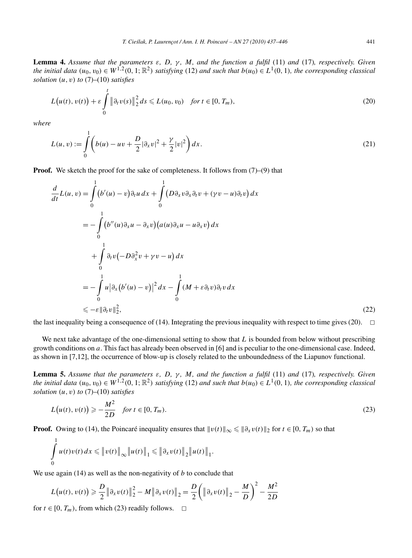**Lemma 4.** *Assume that the parameters ε, D, γ , M, and the function a fulfil* (11) *and* (17)*, respectively. Given* the initial data  $(u_0, v_0) \in W^{1,2}(0, 1; \mathbb{R}^2)$  satisfying (12) and such that  $b(u_0) \in L^1(0, 1)$ , the corresponding classical *solution (u, v) to* (7)–(10) *satisfies*

$$
L(u(t), v(t)) + \varepsilon \int_{0}^{t} \|\partial_t v(s)\|_{2}^{2} ds \le L(u_0, v_0) \quad \text{for } t \in [0, T_m),
$$
\n(20)

*where*

$$
L(u, v) := \int_{0}^{1} \left( b(u) - uv + \frac{D}{2} |\partial_x v|^2 + \frac{\gamma}{2} |v|^2 \right) dx.
$$
 (21)

**Proof.** We sketch the proof for the sake of completeness. It follows from  $(7)$ – $(9)$  that

$$
\frac{d}{dt}L(u,v) = \int_{0}^{1} (b'(u) - v)\partial_t u \, dx + \int_{0}^{1} (D\partial_x v \partial_x \partial_t v + (\gamma v - u)\partial_t v) \, dx
$$
\n
$$
= -\int_{0}^{1} (b''(u)\partial_x u - \partial_x v)(a(u)\partial_x u - u\partial_x v) \, dx
$$
\n
$$
+ \int_{0}^{1} \partial_t v(-D\partial_x^2 v + \gamma v - u) \, dx
$$
\n
$$
= -\int_{0}^{1} u |\partial_x (b'(u) - v)|^2 \, dx - \int_{0}^{1} (M + \varepsilon \partial_t v) \partial_t v \, dx
$$
\n
$$
\leq -\varepsilon ||\partial_t v||_2^2,
$$
\n(22)

the last inequality being a consequence of (14). Integrating the previous inequality with respect to time gives (20).  $\Box$ 

We next take advantage of the one-dimensional setting to show that *L* is bounded from below without prescribing growth conditions on *a*. This fact has already been observed in [6] and is peculiar to the one-dimensional case. Indeed, as shown in [7,12], the occurrence of blow-up is closely related to the unboundedness of the Liapunov functional.

**Lemma 5.** *Assume that the parameters ε, D, γ , M, and the function a fulfil* (11) *and* (17)*, respectively. Given* the initial data  $(u_0, v_0) \in W^{1,2}(0, 1; \mathbb{R}^2)$  satisfying (12) and such that  $b(u_0) \in L^1(0, 1)$ , the corresponding classical *solution (u, v) to* (7)–(10) *satisfies*

$$
L(u(t), v(t)) \geqslant -\frac{M^2}{2D} \quad \text{for } t \in [0, T_m). \tag{23}
$$

**Proof.** Owing to (14), the Poincaré inequality ensures that  $||v(t)||_{\infty} \le ||\partial_x v(t)||_2$  for  $t \in [0, T_m)$  so that

$$
\int_{0}^{1} u(t)v(t) dx \leq \|v(t)\|_{\infty} \|u(t)\|_{1} \leq \| \partial_{x} v(t)\|_{2} \|u(t)\|_{1}.
$$

We use again (14) as well as the non-negativity of *b* to conclude that

$$
L(u(t), v(t)) \geq \frac{D}{2} ||\partial_x v(t)||_2^2 - M ||\partial_x v(t)||_2 = \frac{D}{2} \left( ||\partial_x v(t)||_2 - \frac{M}{D} \right)^2 - \frac{M^2}{2D}
$$

for  $t \in [0, T_m)$ , from which (23) readily follows.  $\Box$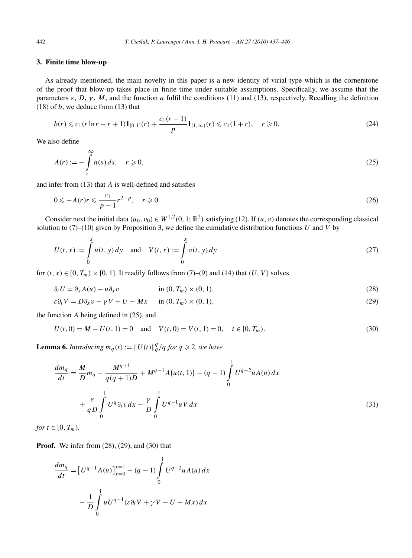## **3. Finite time blow-up**

As already mentioned, the main novelty in this paper is a new identity of virial type which is the cornerstone of the proof that blow-up takes place in finite time under suitable assumptions. Specifically, we assume that the parameters  $\varepsilon$ ,  $D$ ,  $\gamma$ ,  $M$ , and the function *a* fulfil the conditions (11) and (13), respectively. Recalling the definition  $(18)$  of *b*, we deduce from  $(13)$  that

$$
b(r) \leq c_1(r \ln r - r + 1) \mathbf{1}_{[0,1]}(r) + \frac{c_1(r-1)}{p} \mathbf{1}_{[1,\infty)}(r) \leq c_1(1+r), \quad r \geq 0. \tag{24}
$$

We also define

$$
A(r) := -\int_{r}^{\infty} a(s) ds, \quad r \geqslant 0,
$$
\n<sup>(25)</sup>

and infer from (13) that *A* is well-defined and satisfies

$$
0 \leqslant -A(r)r \leqslant \frac{c_1}{p-1}r^{2-p}, \quad r \geqslant 0. \tag{26}
$$

Consider next the initial data  $(u_0, v_0) \in W^{1,2}(0, 1; \mathbb{R}^2)$  satisfying (12). If  $(u, v)$  denotes the corresponding classical solution to (7)–(10) given by Proposition 3, we define the cumulative distribution functions *U* and *V* by

$$
U(t, x) := \int_{0}^{x} u(t, y) dy \text{ and } V(t, x) := \int_{0}^{x} v(t, y) dy
$$
 (27)

for  $(t, x) \in [0, T_m) \times [0, 1]$ . It readily follows from  $(7)$ – $(9)$  and  $(14)$  that  $(U, V)$  solves

$$
\partial_t U = \partial_x A(u) - u \partial_x v \qquad \text{in } (0, T_m) \times (0, 1), \tag{28}
$$

$$
\varepsilon \partial_t V = D \partial_x v - \gamma V + U - Mx \quad \text{in } (0, T_m) \times (0, 1), \tag{29}
$$

the function *A* being defined in (25), and

$$
U(t, 0) = M - U(t, 1) = 0 \quad \text{and} \quad V(t, 0) = V(t, 1) = 0, \quad t \in [0, T_m). \tag{30}
$$

**Lemma 6.** *Introducing*  $m_q(t) := ||U(t)||_q^q/q$  *for*  $q \ge 2$ *, we have* 

$$
\frac{dm_q}{dt} = \frac{M}{D}m_q - \frac{M^{q+1}}{q(q+1)D} + M^{q-1}A(u(t,1)) - (q-1)\int_0^1 U^{q-2}uA(u)dx
$$
  
+ 
$$
\frac{\varepsilon}{qD} \int_0^1 U^q \partial_t v \, dx - \frac{\gamma}{D} \int_0^1 U^{q-1}uV \, dx
$$
 (31)

*for*  $t \in [0, T_m)$ *.* 

**Proof.** We infer from (28), (29), and (30) that

$$
\frac{dm_q}{dt} = \left[U^{q-1}A(u)\right]_{x=0}^{x=1} - (q-1)\int_0^1 U^{q-2}uA(u) dx
$$

$$
-\frac{1}{D}\int_0^1 uU^{q-1}(\varepsilon\partial_t V + \gamma V - U + Mx) dx
$$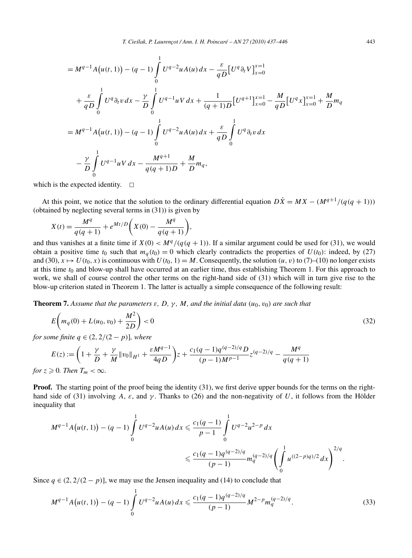$$
= M^{q-1} A (u(t, 1)) - (q - 1) \int_{0}^{1} U^{q-2} u A(u) dx - \frac{\varepsilon}{q D} [U^q \partial_t V]_{x=0}^{x=1}
$$
  
+  $\frac{\varepsilon}{q D} \int_{0}^{1} U^q \partial_t v dx - \frac{\gamma}{D} \int_{0}^{1} U^{q-1} u V dx + \frac{1}{(q+1)D} [U^{q+1}]_{x=0}^{x=1} - \frac{M}{q D} [U^q x]_{x=0}^{x=1} + \frac{M}{D} m_q$   
=  $M^{q-1} A (u(t, 1)) - (q - 1) \int_{0}^{1} U^{q-2} u A(u) dx + \frac{\varepsilon}{q D} \int_{0}^{1} U^q \partial_t v dx$   
-  $\frac{\gamma}{D} \int_{0}^{1} U^{q-1} u V dx - \frac{M^{q+1}}{q(q+1)D} + \frac{M}{D} m_q,$ 

which is the expected identity.  $\square$ 

At this point, we notice that the solution to the ordinary differential equation  $D\dot{X} = MX - (M^{q+1}/(q(q+1)))$ (obtained by neglecting several terms in (31)) is given by

$$
X(t) = \frac{M^{q}}{q(q+1)} + e^{Mt/D}\bigg(X(0) - \frac{M^{q}}{q(q+1)}\bigg),
$$

and thus vanishes at a finite time if  $X(0) < M<sup>q</sup> / (q(q + 1))$ . If a similar argument could be used for (31), we would obtain a positive time  $t_0$  such that  $m_q(t_0) = 0$  which clearly contradicts the properties of  $U(t_0)$ : indeed, by (27) and (30),  $x \mapsto U(t_0, x)$  is continuous with  $U(t_0, 1) = M$ . Consequently, the solution  $(u, v)$  to (7)–(10) no longer exists at this time  $t_0$  and blow-up shall have occurred at an earlier time, thus establishing Theorem 1. For this approach to work, we shall of course control the other terms on the right-hand side of (31) which will in turn give rise to the blow-up criterion stated in Theorem 1. The latter is actually a simple consequence of the following result:

**Theorem 7.** Assume that the parameters  $\varepsilon$ ,  $D$ ,  $\gamma$ ,  $M$ , and the initial data  $(u_0, v_0)$  are such that

$$
E\left(m_q(0) + L(u_0, v_0) + \frac{M^2}{2D}\right) < 0\tag{32}
$$

*for some finite*  $q \in (2, 2/(2-p))$ *, where* 

$$
E(z) := \left(1 + \frac{\gamma}{D} + \frac{\gamma}{M} \|v_0\|_{H^1} + \frac{\varepsilon M^{q-1}}{4qD}\right)z + \frac{c_1(q-1)q^{(q-2)/q}D}{(p-1)M^{p-1}}z^{(q-2)/q} - \frac{M^q}{q(q+1)}
$$
  
\n $r \ge 0$  Then  $T_m < \infty$ 

*for*  $z \ge 0$ *. Then*  $T_m < \infty$ *.* 

**Proof.** The starting point of the proof being the identity (31), we first derive upper bounds for the terms on the righthand side of (31) involving *A*,  $\varepsilon$ , and  $\gamma$ . Thanks to (26) and the non-negativity of *U*, it follows from the Hölder inequality that

$$
M^{q-1}A(u(t,1)) - (q-1)\int_{0}^{1} U^{q-2}uA(u) dx \leq \frac{c_1(q-1)}{p-1} \int_{0}^{1} U^{q-2}u^{2-p} dx
$$
  

$$
\leq \frac{c_1(q-1)q^{(q-2)/q}}{(p-1)} m_q^{(q-2)/q} \left( \int_{0}^{1} u^{((2-p)q)/2} dx \right)^{2/q}.
$$

Since  $q \in (2, 2/(2 - p))$ , we may use the Jensen inequality and (14) to conclude that

$$
M^{q-1}A(u(t,1)) - (q-1)\int_{0}^{1} U^{q-2}uA(u) dx \leq \frac{c_1(q-1)q^{(q-2)/q}}{(p-1)}M^{2-p}m_q^{(q-2)/q}.
$$
 (33)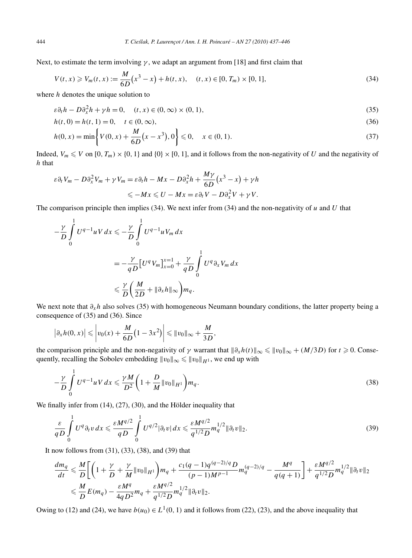Next, to estimate the term involving  $\gamma$ , we adapt an argument from [18] and first claim that

$$
V(t, x) \geq V_m(t, x) := \frac{M}{6D} (x^3 - x) + h(t, x), \quad (t, x) \in [0, T_m) \times [0, 1],
$$
\n(34)

where *h* denotes the unique solution to

$$
\varepsilon \partial_t h - D \partial_x^2 h + \gamma h = 0, \quad (t, x) \in (0, \infty) \times (0, 1), \tag{35}
$$

$$
h(t,0) = h(t,1) = 0, \quad t \in (0,\infty),
$$
\n(36)

$$
h(0, x) = \min\left\{V(0, x) + \frac{M}{6D}(x - x^3), 0\right\} \leq 0, \quad x \in (0, 1).
$$
\n(37)

Indeed,  $V_m \le V$  on  $[0, T_m) \times \{0, 1\}$  and  $\{0\} \times [0, 1]$ , and it follows from the non-negativity of *U* and the negativity of *h* that

$$
\varepsilon \partial_t V_m - D \partial_x^2 V_m + \gamma V_m = \varepsilon \partial_t h - Mx - D \partial_x^2 h + \frac{M\gamma}{6D} (x^3 - x) + \gamma h
$$
  

$$
\leq -Mx \leq U - Mx = \varepsilon \partial_t V - D \partial_x^2 V + \gamma V.
$$

The comparison principle then implies (34). We next infer from (34) and the non-negativity of *u* and *U* that

$$
-\frac{\gamma}{D} \int_{0}^{1} U^{q-1} uV dx \leq -\frac{\gamma}{D} \int_{0}^{1} U^{q-1} uV_m dx
$$
  

$$
= -\frac{\gamma}{qD} \Big[U^q V_m \Big]_{x=0}^{x=1} + \frac{\gamma}{qD} \int_{0}^{1} U^q \partial_x V_m dx
$$
  

$$
\leq \frac{\gamma}{D} \Big( \frac{M}{2D} + ||\partial_x h||_{\infty} \Big) m_q.
$$

We next note that *∂xh* also solves (35) with homogeneous Neumann boundary conditions, the latter property being a consequence of (35) and (36). Since

$$
\left|\partial_x h(0,x)\right| \leqslant \left|v_0(x) + \frac{M}{6D}\left(1 - 3x^2\right)\right| \leqslant \|v_0\|_{\infty} + \frac{M}{3D},
$$

the comparison principle and the non-negativity of *γ* warrant that  $\|\partial_x h(t)\|_{\infty} \leq \|v_0\|_{\infty} + (M/3D)$  for  $t \geq 0$ . Consequently, recalling the Sobolev embedding  $\|v_0\|_{\infty} \leq \|v_0\|_{H^1}$ , we end up with

$$
-\frac{\gamma}{D} \int_{0}^{1} U^{q-1} u V \, dx \leq \frac{\gamma M}{D^2} \bigg( 1 + \frac{D}{M} ||v_0||_{H^1} \bigg) m_q. \tag{38}
$$

We finally infer from (14), (27), (30), and the Hölder inequality that

$$
\frac{\varepsilon}{qD} \int\limits_{0}^{1} U^{q} \partial_{t} v \, dx \leqslant \frac{\varepsilon M^{q/2}}{qD} \int\limits_{0}^{1} U^{q/2} |\partial_{t} v| \, dx \leqslant \frac{\varepsilon M^{q/2}}{q^{1/2}D} m_{q}^{1/2} \|\partial_{t} v\|_{2}.
$$
\n
$$
\tag{39}
$$

It now follows from (31), (33), (38), and (39) that

$$
\frac{dm_q}{dt} \leq \frac{M}{D} \bigg[ \bigg( 1 + \frac{\gamma}{D} + \frac{\gamma}{M} \|v_0\|_{H^1} \bigg) m_q + \frac{c_1(q-1)q^{(q-2)/q}D}{(p-1)M^{p-1}} m_q^{(q-2)/q} - \frac{M^q}{q(q+1)} \bigg] + \frac{\varepsilon M^{q/2}}{q^{1/2}D} m_q^{1/2} \|\partial_t v\|_2
$$
  

$$
\leq \frac{M}{D} E(m_q) - \frac{\varepsilon M^q}{4qD^2} m_q + \frac{\varepsilon M^{q/2}}{q^{1/2}D} m_q^{1/2} \|\partial_t v\|_2.
$$

Owing to (12) and (24), we have  $b(u_0) \in L^1(0, 1)$  and it follows from (22), (23), and the above inequality that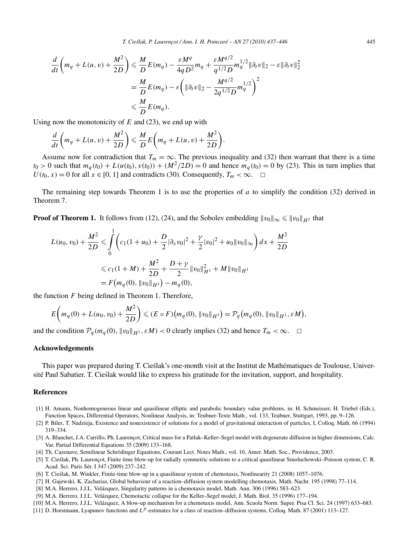$$
\frac{d}{dt}\left(m_q + L(u,v) + \frac{M^2}{2D}\right) \leq \frac{M}{D}E(m_q) - \frac{\varepsilon M^q}{4qD^2}m_q + \frac{\varepsilon M^{q/2}}{q^{1/2}D}m_q^{1/2} \|\partial_t v\|_2 - \varepsilon \|\partial_t v\|_2^2
$$

$$
= \frac{M}{D}E(m_q) - \varepsilon \left(\|\partial_t v\|_2 - \frac{M^{q/2}}{2q^{1/2}D}m_q^{1/2}\right)^2
$$

$$
\leq \frac{M}{D}E(m_q).
$$

Using now the monotonicity of *E* and (23), we end up with

$$
\frac{d}{dt}\left(m_q + L(u,v) + \frac{M^2}{2D}\right) \leqslant \frac{M}{D}E\left(m_q + L(u,v) + \frac{M^2}{2D}\right).
$$

Assume now for contradiction that  $T_m = \infty$ . The previous inequality and (32) then warrant that there is a time  $t_0 > 0$  such that  $m_q(t_0) + L(u(t_0), v(t_0)) + (M^2/2D) = 0$  and hence  $m_q(t_0) = 0$  by (23). This in turn implies that *U* ( $t_0, x$ ) = 0 for all  $x \in [0, 1]$  and contradicts (30). Consequently,  $T_m < \infty$ .  $\Box$ 

The remaining step towards Theorem 1 is to use the properties of *a* to simplify the condition (32) derived in Theorem 7.

**Proof of Theorem 1.** It follows from (12), (24), and the Sobolev embedding  $\|v_0\|_{\infty} \leqslant \|v_0\|_{H^1}$  that

$$
L(u_0, v_0) + \frac{M^2}{2D} \le \int_0^1 \left( c_1 (1 + u_0) + \frac{D}{2} |\partial_x v_0|^2 + \frac{\gamma}{2} |v_0|^2 + u_0 \|v_0\|_{\infty} \right) dx + \frac{M^2}{2D}
$$
  

$$
\le c_1 (1 + M) + \frac{M^2}{2D} + \frac{D + \gamma}{2} \|v_0\|_{H^1}^2 + M \|v_0\|_{H^1}
$$
  

$$
= F(m_q(0), \|v_0\|_{H^1}) - m_q(0),
$$

the function *F* being defined in Theorem 1. Therefore,

$$
E\bigg(m_q(0) + L(u_0, v_0) + \frac{M^2}{2D}\bigg) \leqslant (E \circ F)\big(m_q(0), \|v_0\|_{H^1}\big) = \mathcal{P}_q\big(m_q(0), \|v_0\|_{H^1}, \varepsilon M\big),
$$

and the condition  $\mathcal{P}_q(m_q(0), \|v_0\|_{H^1}, \varepsilon M) < 0$  clearly implies (32) and hence  $T_m < \infty$ .  $\Box$ 

### **Acknowledgements**

This paper was prepared during T. Cieslak's one-month visit at the Institut de Mathématiques de Toulouse, Univer- ´ sité Paul Sabatier. T. Cieslak would like to express his gratitude for the invitation, support, and hospitality. ´

## **References**

- [1] H. Amann, Nonhomogeneous linear and quasilinear elliptic and parabolic boundary value problems, in: H. Schmeisser, H. Triebel (Eds.), Function Spaces, Differential Operators, Nonlinear Analysis, in: Teubner-Texte Math., vol. 133, Teubner, Stuttgart, 1993, pp. 9–126.
- [2] P. Biler, T. Nadzieja, Existence and nonexistence of solutions for a model of gravitational interaction of particles, I, Colloq. Math. 66 (1994) 319–334.
- [3] A. Blanchet, J.A. Carrillo, Ph. Laurençot, Critical mass for a Patlak–Keller–Segel model with degenerate diffusion in higher dimensions, Calc. Var. Partial Differential Equations 35 (2009) 133–168.
- [4] Th. Cazenave, Semilinear Schrödinger Equations, Courant Lect. Notes Math., vol. 10, Amer. Math. Soc., Providence, 2003.
- [5] T. Cieslak, Ph. Laurençot, Finite time blow-up for radially symmetric solutions to a critical quasilinear Smoluchowski–Poisson system, C. R. ´ Acad. Sci. Paris Sér. I 347 (2009) 237–242.
- [6] T. Cieslak, M. Winkler, Finite-time blow-up in a quasilinear system of chemotaxis, Nonlinearity 21 (2008) 1057–1076. ´
- [7] H. Gajewski, K. Zacharias, Global behaviour of a reaction–diffusion system modelling chemotaxis, Math. Nachr. 195 (1998) 77–114.
- [8] M.A. Herrero, J.J.L. Velázquez, Singularity patterns in a chemotaxis model, Math. Ann. 306 (1996) 583–623.
- [9] M.A. Herrero, J.J.L. Velázquez, Chemotactic collapse for the Keller–Segel model, J. Math. Biol. 35 (1996) 177–194.
- [10] M.A. Herrero, J.J.L. Velázquez, A blow-up mechanism for a chemotaxis model, Ann. Scuola Norm. Super. Pisa Cl. Sci. 24 (1997) 633–683.
- [11] D. Horstmann, Lyapunov functions and *Lp*-estimates for a class of reaction–diffusion systems, Colloq. Math. 87 (2001) 113–127.